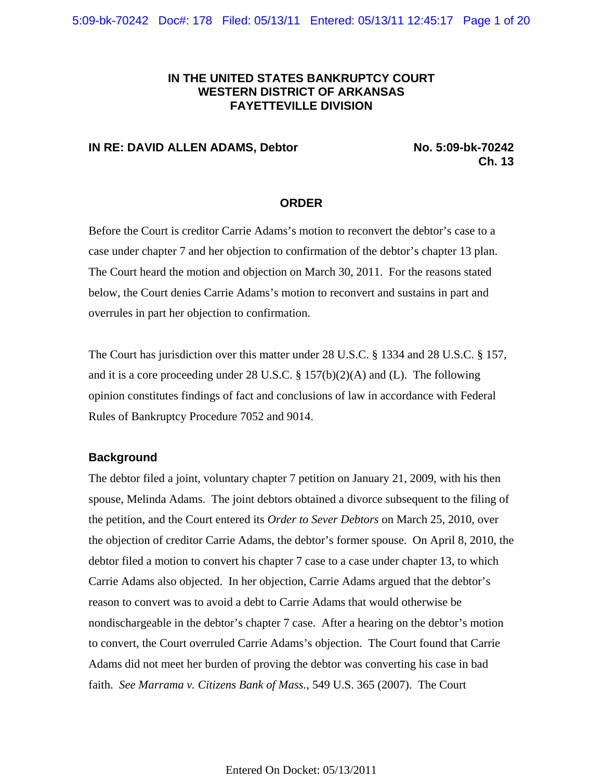# **IN THE UNITED STATES BANKRUPTCY COURT WESTERN DISTRICT OF ARKANSAS FAYETTEVILLE DIVISION**

## **IN RE: DAVID ALLEN ADAMS, Debtor No. 5:09-bk-70242**

**Ch. 13**

#### **ORDER**

Before the Court is creditor Carrie Adams's motion to reconvert the debtor's case to a case under chapter 7 and her objection to confirmation of the debtor's chapter 13 plan. The Court heard the motion and objection on March 30, 2011. For the reasons stated below, the Court denies Carrie Adams's motion to reconvert and sustains in part and overrules in part her objection to confirmation.

The Court has jurisdiction over this matter under 28 U.S.C. § 1334 and 28 U.S.C. § 157, and it is a core proceeding under 28 U.S.C.  $\S 157(b)(2)(A)$  and (L). The following opinion constitutes findings of fact and conclusions of law in accordance with Federal Rules of Bankruptcy Procedure 7052 and 9014.

### **Background**

The debtor filed a joint, voluntary chapter 7 petition on January 21, 2009, with his then spouse, Melinda Adams. The joint debtors obtained a divorce subsequent to the filing of the petition, and the Court entered its *Order to Sever Debtors* on March 25, 2010, over the objection of creditor Carrie Adams, the debtor's former spouse. On April 8, 2010, the debtor filed a motion to convert his chapter 7 case to a case under chapter 13, to which Carrie Adams also objected. In her objection, Carrie Adams argued that the debtor's reason to convert was to avoid a debt to Carrie Adams that would otherwise be nondischargeable in the debtor's chapter 7 case. After a hearing on the debtor's motion to convert, the Court overruled Carrie Adams's objection. The Court found that Carrie Adams did not meet her burden of proving the debtor was converting his case in bad faith. *See Marrama v. Citizens Bank of Mass.*, 549 U.S. 365 (2007). The Court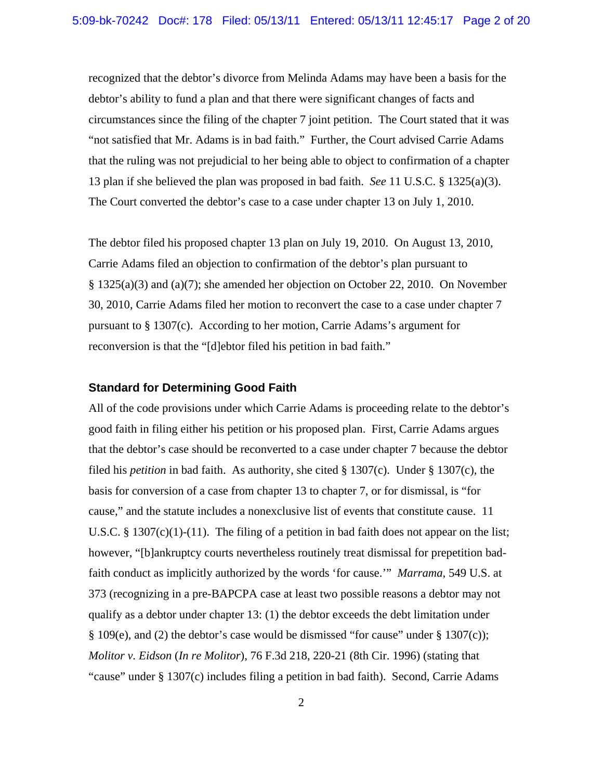recognized that the debtor's divorce from Melinda Adams may have been a basis for the debtor's ability to fund a plan and that there were significant changes of facts and circumstances since the filing of the chapter 7 joint petition. The Court stated that it was "not satisfied that Mr. Adams is in bad faith." Further, the Court advised Carrie Adams that the ruling was not prejudicial to her being able to object to confirmation of a chapter 13 plan if she believed the plan was proposed in bad faith. *See* 11 U.S.C. § 1325(a)(3). The Court converted the debtor's case to a case under chapter 13 on July 1, 2010.

The debtor filed his proposed chapter 13 plan on July 19, 2010. On August 13, 2010, Carrie Adams filed an objection to confirmation of the debtor's plan pursuant to § 1325(a)(3) and (a)(7); she amended her objection on October 22, 2010. On November 30, 2010, Carrie Adams filed her motion to reconvert the case to a case under chapter 7 pursuant to § 1307(c). According to her motion, Carrie Adams's argument for reconversion is that the "[d]ebtor filed his petition in bad faith."

### **Standard for Determining Good Faith**

All of the code provisions under which Carrie Adams is proceeding relate to the debtor's good faith in filing either his petition or his proposed plan. First, Carrie Adams argues that the debtor's case should be reconverted to a case under chapter 7 because the debtor filed his *petition* in bad faith. As authority, she cited § 1307(c). Under § 1307(c), the basis for conversion of a case from chapter 13 to chapter 7, or for dismissal, is "for cause," and the statute includes a nonexclusive list of events that constitute cause. 11 U.S.C. § 1307 $(c)(1)-(11)$ . The filing of a petition in bad faith does not appear on the list; however, "[b]ankruptcy courts nevertheless routinely treat dismissal for prepetition badfaith conduct as implicitly authorized by the words 'for cause.'" *Marrama*, 549 U.S. at 373 (recognizing in a pre-BAPCPA case at least two possible reasons a debtor may not qualify as a debtor under chapter 13: (1) the debtor exceeds the debt limitation under § 109(e), and (2) the debtor's case would be dismissed "for cause" under § 1307(c)); *Molitor v. Eidson* (*In re Molitor*), 76 F.3d 218, 220-21 (8th Cir. 1996) (stating that "cause" under § 1307(c) includes filing a petition in bad faith). Second, Carrie Adams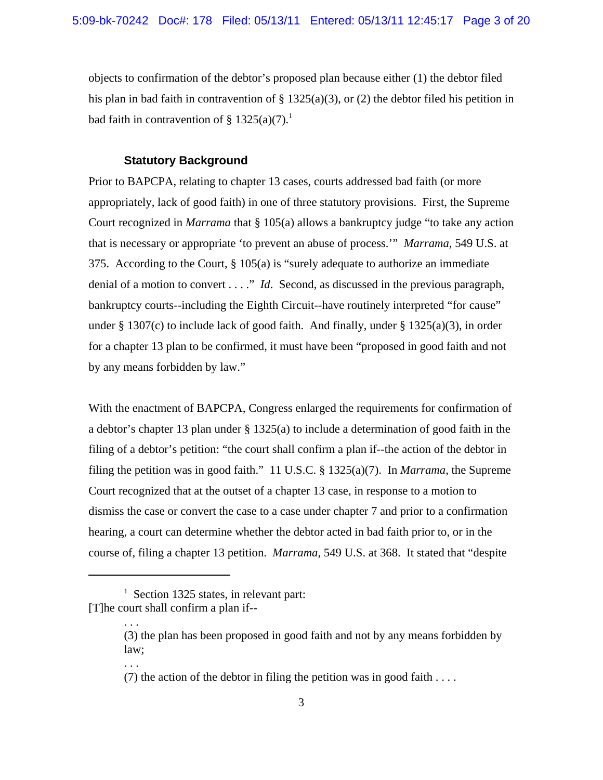objects to confirmation of the debtor's proposed plan because either (1) the debtor filed his plan in bad faith in contravention of  $\S$  1325(a)(3), or (2) the debtor filed his petition in bad faith in contravention of § 1325(a)(7).<sup>1</sup>

### **Statutory Background**

Prior to BAPCPA, relating to chapter 13 cases, courts addressed bad faith (or more appropriately, lack of good faith) in one of three statutory provisions. First, the Supreme Court recognized in *Marrama* that § 105(a) allows a bankruptcy judge "to take any action that is necessary or appropriate 'to prevent an abuse of process.'" *Marrama*, 549 U.S. at 375. According to the Court, § 105(a) is "surely adequate to authorize an immediate denial of a motion to convert . . . ." *Id*. Second, as discussed in the previous paragraph, bankruptcy courts--including the Eighth Circuit--have routinely interpreted "for cause" under § 1307(c) to include lack of good faith. And finally, under § 1325(a)(3), in order for a chapter 13 plan to be confirmed, it must have been "proposed in good faith and not by any means forbidden by law."

With the enactment of BAPCPA, Congress enlarged the requirements for confirmation of a debtor's chapter 13 plan under § 1325(a) to include a determination of good faith in the filing of a debtor's petition: "the court shall confirm a plan if--the action of the debtor in filing the petition was in good faith." 11 U.S.C. § 1325(a)(7). In *Marrama*, the Supreme Court recognized that at the outset of a chapter 13 case, in response to a motion to dismiss the case or convert the case to a case under chapter 7 and prior to a confirmation hearing, a court can determine whether the debtor acted in bad faith prior to, or in the course of, filing a chapter 13 petition. *Marrama*, 549 U.S. at 368. It stated that "despite

. . .

. . .

<sup>&</sup>lt;sup>1</sup> Section 1325 states, in relevant part: [T]he court shall confirm a plan if--

<sup>(3)</sup> the plan has been proposed in good faith and not by any means forbidden by law;

<sup>(7)</sup> the action of the debtor in filing the petition was in good faith ....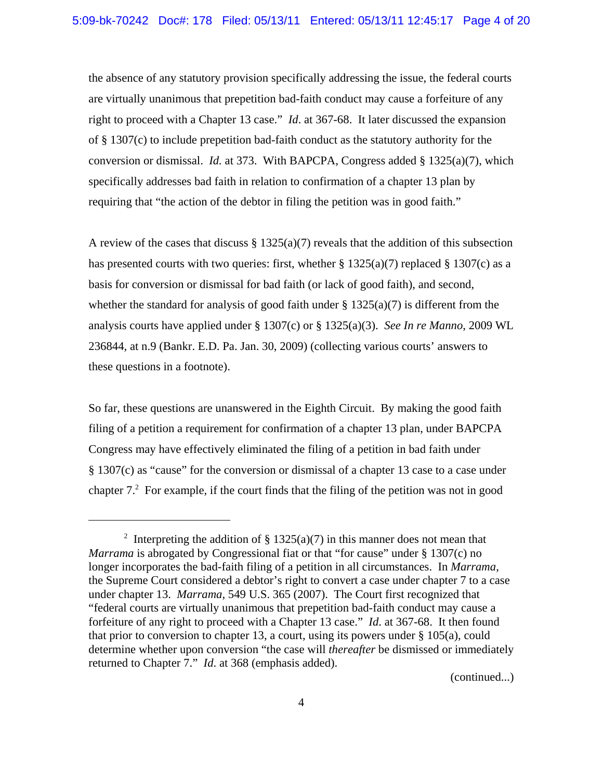the absence of any statutory provision specifically addressing the issue, the federal courts are virtually unanimous that prepetition bad-faith conduct may cause a forfeiture of any right to proceed with a Chapter 13 case." *Id*. at 367-68. It later discussed the expansion of § 1307(c) to include prepetition bad-faith conduct as the statutory authority for the conversion or dismissal. *Id.* at 373. With BAPCPA, Congress added § 1325(a)(7), which specifically addresses bad faith in relation to confirmation of a chapter 13 plan by requiring that "the action of the debtor in filing the petition was in good faith."

A review of the cases that discuss  $\S 1325(a)(7)$  reveals that the addition of this subsection has presented courts with two queries: first, whether  $\S 1325(a)(7)$  replaced  $\S 1307(c)$  as a basis for conversion or dismissal for bad faith (or lack of good faith), and second, whether the standard for analysis of good faith under  $\S 1325(a)(7)$  is different from the analysis courts have applied under § 1307(c) or § 1325(a)(3). *See In re Manno*, 2009 WL 236844, at n.9 (Bankr. E.D. Pa. Jan. 30, 2009) (collecting various courts' answers to these questions in a footnote).

So far, these questions are unanswered in the Eighth Circuit. By making the good faith filing of a petition a requirement for confirmation of a chapter 13 plan, under BAPCPA Congress may have effectively eliminated the filing of a petition in bad faith under § 1307(c) as "cause" for the conversion or dismissal of a chapter 13 case to a case under chapter  $7<sup>2</sup>$  For example, if the court finds that the filing of the petition was not in good

(continued...)

<sup>&</sup>lt;sup>2</sup> Interpreting the addition of § 1325(a)(7) in this manner does not mean that *Marrama* is abrogated by Congressional fiat or that "for cause" under § 1307(c) no longer incorporates the bad-faith filing of a petition in all circumstances. In *Marrama*, the Supreme Court considered a debtor's right to convert a case under chapter 7 to a case under chapter 13. *Marrama*, 549 U.S. 365 (2007). The Court first recognized that "federal courts are virtually unanimous that prepetition bad-faith conduct may cause a forfeiture of any right to proceed with a Chapter 13 case." *Id*. at 367-68. It then found that prior to conversion to chapter 13, a court, using its powers under  $\S 105(a)$ , could determine whether upon conversion "the case will *thereafter* be dismissed or immediately returned to Chapter 7." *Id*. at 368 (emphasis added).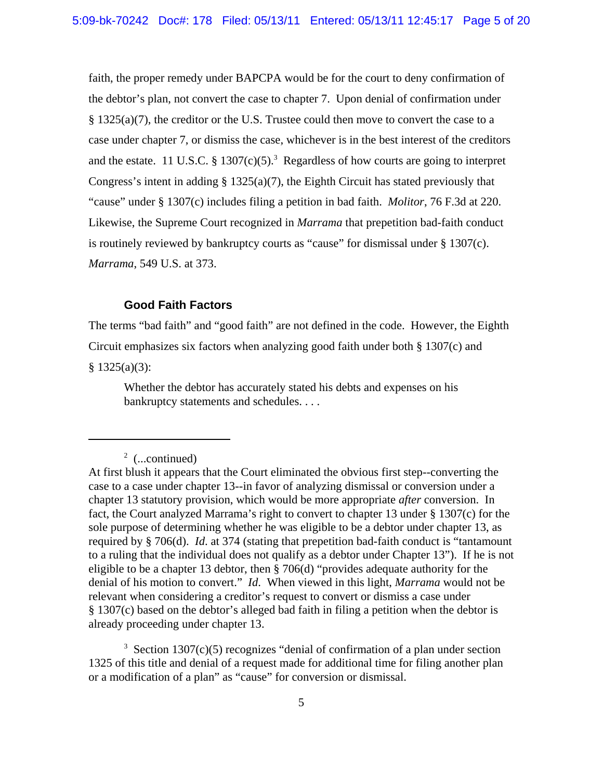faith, the proper remedy under BAPCPA would be for the court to deny confirmation of the debtor's plan, not convert the case to chapter 7. Upon denial of confirmation under § 1325(a)(7), the creditor or the U.S. Trustee could then move to convert the case to a case under chapter 7, or dismiss the case, whichever is in the best interest of the creditors and the estate. 11 U.S.C. § 1307 $(c)(5)^3$  Regardless of how courts are going to interpret Congress's intent in adding  $\S$  1325(a)(7), the Eighth Circuit has stated previously that "cause" under § 1307(c) includes filing a petition in bad faith. *Molitor*, 76 F.3d at 220. Likewise, the Supreme Court recognized in *Marrama* that prepetition bad-faith conduct is routinely reviewed by bankruptcy courts as "cause" for dismissal under § 1307(c). *Marrama*, 549 U.S. at 373.

## **Good Faith Factors**

The terms "bad faith" and "good faith" are not defined in the code. However, the Eighth Circuit emphasizes six factors when analyzing good faith under both § 1307(c) and

 $§ 1325(a)(3):$ 

Whether the debtor has accurately stated his debts and expenses on his bankruptcy statements and schedules. . . .

 $3$  Section 1307(c)(5) recognizes "denial of confirmation of a plan under section 1325 of this title and denial of a request made for additional time for filing another plan or a modification of a plan" as "cause" for conversion or dismissal.

 $2$  (...continued)

At first blush it appears that the Court eliminated the obvious first step--converting the case to a case under chapter 13--in favor of analyzing dismissal or conversion under a chapter 13 statutory provision, which would be more appropriate *after* conversion. In fact, the Court analyzed Marrama's right to convert to chapter 13 under § 1307(c) for the sole purpose of determining whether he was eligible to be a debtor under chapter 13, as required by § 706(d). *Id*. at 374 (stating that prepetition bad-faith conduct is "tantamount to a ruling that the individual does not qualify as a debtor under Chapter 13"). If he is not eligible to be a chapter 13 debtor, then § 706(d) "provides adequate authority for the denial of his motion to convert." *Id*. When viewed in this light, *Marrama* would not be relevant when considering a creditor's request to convert or dismiss a case under § 1307(c) based on the debtor's alleged bad faith in filing a petition when the debtor is already proceeding under chapter 13.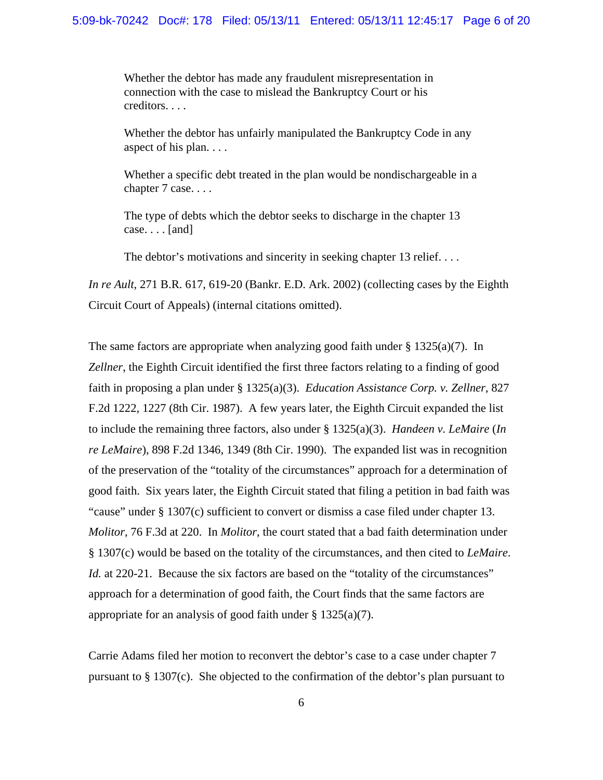Whether the debtor has made any fraudulent misrepresentation in connection with the case to mislead the Bankruptcy Court or his creditors. . . .

Whether the debtor has unfairly manipulated the Bankruptcy Code in any aspect of his plan. . . .

Whether a specific debt treated in the plan would be nondischargeable in a chapter 7 case. . . .

The type of debts which the debtor seeks to discharge in the chapter 13 case. . . . [and]

The debtor's motivations and sincerity in seeking chapter 13 relief....

*In re Ault*, 271 B.R. 617, 619-20 (Bankr. E.D. Ark. 2002) (collecting cases by the Eighth Circuit Court of Appeals) (internal citations omitted).

The same factors are appropriate when analyzing good faith under  $\S 1325(a)(7)$ . In *Zellner*, the Eighth Circuit identified the first three factors relating to a finding of good faith in proposing a plan under § 1325(a)(3). *Education Assistance Corp. v. Zellner*, 827 F.2d 1222, 1227 (8th Cir. 1987). A few years later, the Eighth Circuit expanded the list to include the remaining three factors, also under § 1325(a)(3). *Handeen v. LeMaire* (*In re LeMaire*), 898 F.2d 1346, 1349 (8th Cir. 1990). The expanded list was in recognition of the preservation of the "totality of the circumstances" approach for a determination of good faith. Six years later, the Eighth Circuit stated that filing a petition in bad faith was "cause" under § 1307(c) sufficient to convert or dismiss a case filed under chapter 13. *Molitor*, 76 F.3d at 220. In *Molitor*, the court stated that a bad faith determination under § 1307(c) would be based on the totality of the circumstances, and then cited to *LeMaire*. *Id.* at 220-21. Because the six factors are based on the "totality of the circumstances" approach for a determination of good faith, the Court finds that the same factors are appropriate for an analysis of good faith under  $\S 1325(a)(7)$ .

Carrie Adams filed her motion to reconvert the debtor's case to a case under chapter 7 pursuant to § 1307(c). She objected to the confirmation of the debtor's plan pursuant to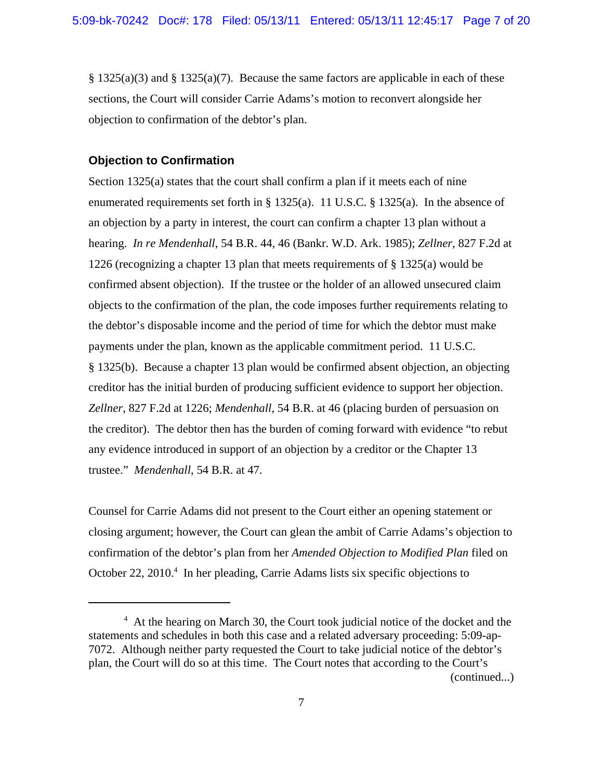$\S$  1325(a)(3) and  $\S$  1325(a)(7). Because the same factors are applicable in each of these sections, the Court will consider Carrie Adams's motion to reconvert alongside her objection to confirmation of the debtor's plan.

# **Objection to Confirmation**

Section 1325(a) states that the court shall confirm a plan if it meets each of nine enumerated requirements set forth in § 1325(a). 11 U.S.C. § 1325(a). In the absence of an objection by a party in interest, the court can confirm a chapter 13 plan without a hearing. *In re Mendenhall*, 54 B.R. 44, 46 (Bankr. W.D. Ark. 1985); *Zellner*, 827 F.2d at 1226 (recognizing a chapter 13 plan that meets requirements of § 1325(a) would be confirmed absent objection). If the trustee or the holder of an allowed unsecured claim objects to the confirmation of the plan, the code imposes further requirements relating to the debtor's disposable income and the period of time for which the debtor must make payments under the plan, known as the applicable commitment period. 11 U.S.C. § 1325(b). Because a chapter 13 plan would be confirmed absent objection, an objecting creditor has the initial burden of producing sufficient evidence to support her objection. *Zellner*, 827 F.2d at 1226; *Mendenhall*, 54 B.R. at 46 (placing burden of persuasion on the creditor). The debtor then has the burden of coming forward with evidence "to rebut any evidence introduced in support of an objection by a creditor or the Chapter 13 trustee." *Mendenhall*, 54 B.R. at 47.

Counsel for Carrie Adams did not present to the Court either an opening statement or closing argument; however, the Court can glean the ambit of Carrie Adams's objection to confirmation of the debtor's plan from her *Amended Objection to Modified Plan* filed on October 22, 2010.<sup>4</sup> In her pleading, Carrie Adams lists six specific objections to

<sup>&</sup>lt;sup>4</sup> At the hearing on March 30, the Court took judicial notice of the docket and the statements and schedules in both this case and a related adversary proceeding: 5:09-ap-7072. Although neither party requested the Court to take judicial notice of the debtor's plan, the Court will do so at this time. The Court notes that according to the Court's (continued...)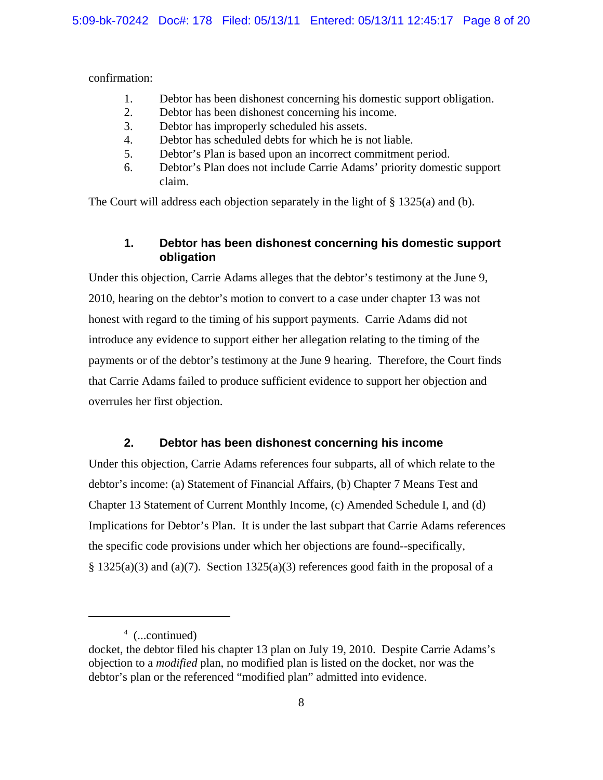confirmation:

- 1. Debtor has been dishonest concerning his domestic support obligation.
- 2. Debtor has been dishonest concerning his income.
- 3. Debtor has improperly scheduled his assets.
- 4. Debtor has scheduled debts for which he is not liable.
- 5. Debtor's Plan is based upon an incorrect commitment period.
- 6. Debtor's Plan does not include Carrie Adams' priority domestic support claim.

The Court will address each objection separately in the light of  $\S$  1325(a) and (b).

# **1. Debtor has been dishonest concerning his domestic support obligation**

Under this objection, Carrie Adams alleges that the debtor's testimony at the June 9, 2010, hearing on the debtor's motion to convert to a case under chapter 13 was not honest with regard to the timing of his support payments. Carrie Adams did not introduce any evidence to support either her allegation relating to the timing of the payments or of the debtor's testimony at the June 9 hearing. Therefore, the Court finds that Carrie Adams failed to produce sufficient evidence to support her objection and overrules her first objection.

# **2. Debtor has been dishonest concerning his income**

Under this objection, Carrie Adams references four subparts, all of which relate to the debtor's income: (a) Statement of Financial Affairs, (b) Chapter 7 Means Test and Chapter 13 Statement of Current Monthly Income, (c) Amended Schedule I, and (d) Implications for Debtor's Plan. It is under the last subpart that Carrie Adams references the specific code provisions under which her objections are found--specifically,  $\S$  1325(a)(3) and (a)(7). Section 1325(a)(3) references good faith in the proposal of a

<sup>4</sup> (...continued)

docket, the debtor filed his chapter 13 plan on July 19, 2010. Despite Carrie Adams's objection to a *modified* plan, no modified plan is listed on the docket, nor was the debtor's plan or the referenced "modified plan" admitted into evidence.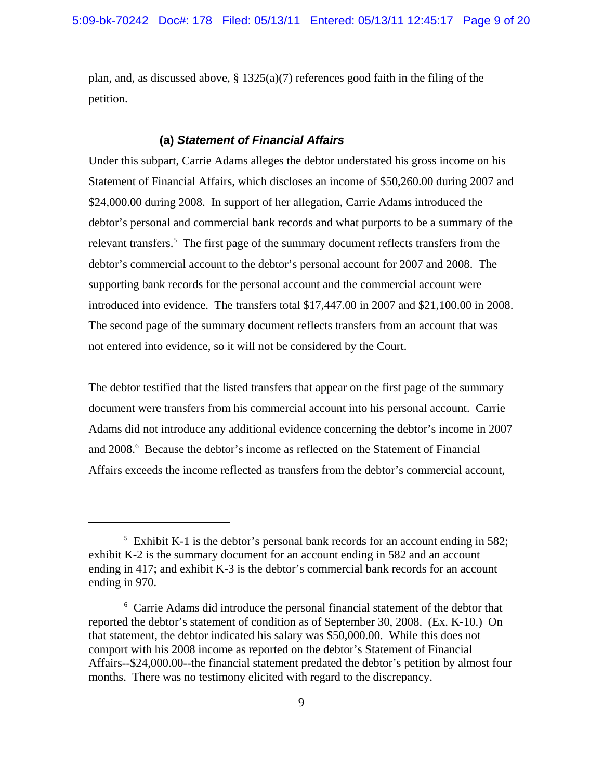plan, and, as discussed above,  $\S 1325(a)(7)$  references good faith in the filing of the petition.

#### **(a)** *Statement of Financial Affairs*

Under this subpart, Carrie Adams alleges the debtor understated his gross income on his Statement of Financial Affairs, which discloses an income of \$50,260.00 during 2007 and \$24,000.00 during 2008. In support of her allegation, Carrie Adams introduced the debtor's personal and commercial bank records and what purports to be a summary of the relevant transfers.<sup>5</sup> The first page of the summary document reflects transfers from the debtor's commercial account to the debtor's personal account for 2007 and 2008. The supporting bank records for the personal account and the commercial account were introduced into evidence. The transfers total \$17,447.00 in 2007 and \$21,100.00 in 2008. The second page of the summary document reflects transfers from an account that was not entered into evidence, so it will not be considered by the Court.

The debtor testified that the listed transfers that appear on the first page of the summary document were transfers from his commercial account into his personal account. Carrie Adams did not introduce any additional evidence concerning the debtor's income in 2007 and 2008.<sup>6</sup> Because the debtor's income as reflected on the Statement of Financial Affairs exceeds the income reflected as transfers from the debtor's commercial account,

<sup>&</sup>lt;sup>5</sup> Exhibit K-1 is the debtor's personal bank records for an account ending in 582; exhibit K-2 is the summary document for an account ending in 582 and an account ending in 417; and exhibit K-3 is the debtor's commercial bank records for an account ending in 970.

<sup>&</sup>lt;sup>6</sup> Carrie Adams did introduce the personal financial statement of the debtor that reported the debtor's statement of condition as of September 30, 2008. (Ex. K-10.) On that statement, the debtor indicated his salary was \$50,000.00. While this does not comport with his 2008 income as reported on the debtor's Statement of Financial Affairs--\$24,000.00--the financial statement predated the debtor's petition by almost four months. There was no testimony elicited with regard to the discrepancy.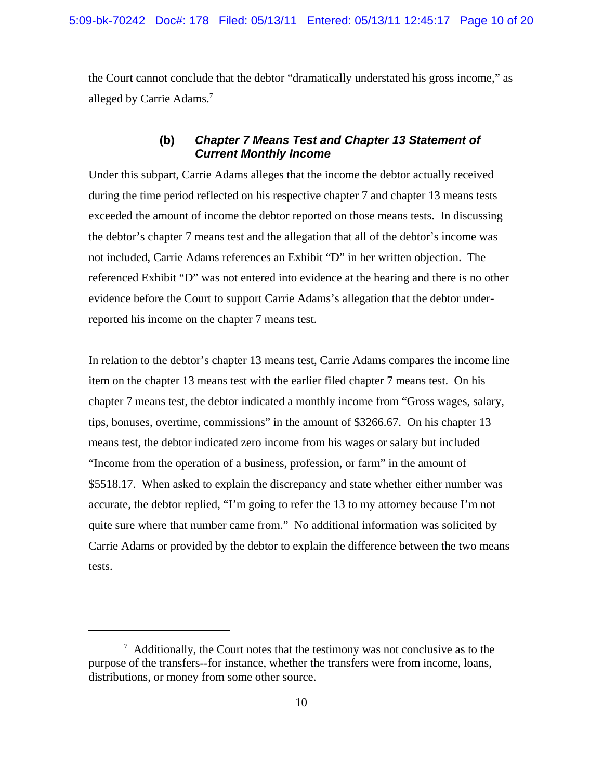the Court cannot conclude that the debtor "dramatically understated his gross income," as alleged by Carrie Adams.<sup>7</sup>

# **(b)** *Chapter 7 Means Test and Chapter 13 Statement of Current Monthly Income*

Under this subpart, Carrie Adams alleges that the income the debtor actually received during the time period reflected on his respective chapter 7 and chapter 13 means tests exceeded the amount of income the debtor reported on those means tests. In discussing the debtor's chapter 7 means test and the allegation that all of the debtor's income was not included, Carrie Adams references an Exhibit "D" in her written objection. The referenced Exhibit "D" was not entered into evidence at the hearing and there is no other evidence before the Court to support Carrie Adams's allegation that the debtor underreported his income on the chapter 7 means test.

In relation to the debtor's chapter 13 means test, Carrie Adams compares the income line item on the chapter 13 means test with the earlier filed chapter 7 means test. On his chapter 7 means test, the debtor indicated a monthly income from "Gross wages, salary, tips, bonuses, overtime, commissions" in the amount of \$3266.67. On his chapter 13 means test, the debtor indicated zero income from his wages or salary but included "Income from the operation of a business, profession, or farm" in the amount of \$5518.17. When asked to explain the discrepancy and state whether either number was accurate, the debtor replied, "I'm going to refer the 13 to my attorney because I'm not quite sure where that number came from." No additional information was solicited by Carrie Adams or provided by the debtor to explain the difference between the two means tests.

 $7$  Additionally, the Court notes that the testimony was not conclusive as to the purpose of the transfers--for instance, whether the transfers were from income, loans, distributions, or money from some other source.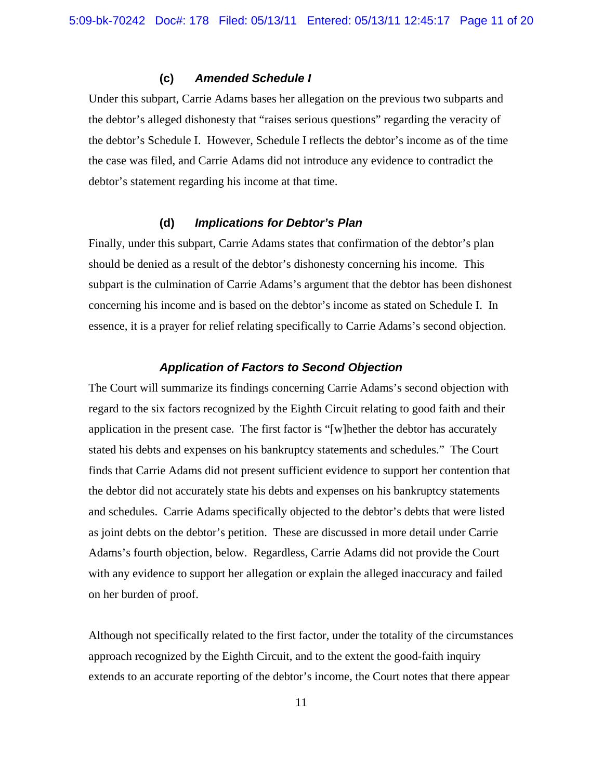### **(c)** *Amended Schedule I*

Under this subpart, Carrie Adams bases her allegation on the previous two subparts and the debtor's alleged dishonesty that "raises serious questions" regarding the veracity of the debtor's Schedule I. However, Schedule I reflects the debtor's income as of the time the case was filed, and Carrie Adams did not introduce any evidence to contradict the debtor's statement regarding his income at that time.

# **(d)** *Implications for Debtor's Plan*

Finally, under this subpart, Carrie Adams states that confirmation of the debtor's plan should be denied as a result of the debtor's dishonesty concerning his income. This subpart is the culmination of Carrie Adams's argument that the debtor has been dishonest concerning his income and is based on the debtor's income as stated on Schedule I. In essence, it is a prayer for relief relating specifically to Carrie Adams's second objection.

#### *Application of Factors to Second Objection*

The Court will summarize its findings concerning Carrie Adams's second objection with regard to the six factors recognized by the Eighth Circuit relating to good faith and their application in the present case. The first factor is "[w]hether the debtor has accurately stated his debts and expenses on his bankruptcy statements and schedules." The Court finds that Carrie Adams did not present sufficient evidence to support her contention that the debtor did not accurately state his debts and expenses on his bankruptcy statements and schedules. Carrie Adams specifically objected to the debtor's debts that were listed as joint debts on the debtor's petition. These are discussed in more detail under Carrie Adams's fourth objection, below. Regardless, Carrie Adams did not provide the Court with any evidence to support her allegation or explain the alleged inaccuracy and failed on her burden of proof.

Although not specifically related to the first factor, under the totality of the circumstances approach recognized by the Eighth Circuit, and to the extent the good-faith inquiry extends to an accurate reporting of the debtor's income, the Court notes that there appear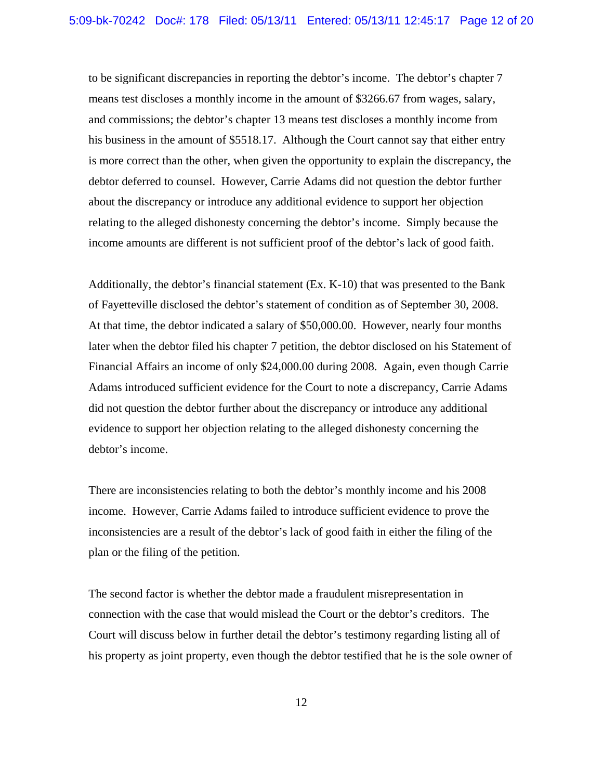to be significant discrepancies in reporting the debtor's income. The debtor's chapter 7 means test discloses a monthly income in the amount of \$3266.67 from wages, salary, and commissions; the debtor's chapter 13 means test discloses a monthly income from his business in the amount of \$5518.17. Although the Court cannot say that either entry is more correct than the other, when given the opportunity to explain the discrepancy, the debtor deferred to counsel. However, Carrie Adams did not question the debtor further about the discrepancy or introduce any additional evidence to support her objection relating to the alleged dishonesty concerning the debtor's income. Simply because the income amounts are different is not sufficient proof of the debtor's lack of good faith.

Additionally, the debtor's financial statement (Ex. K-10) that was presented to the Bank of Fayetteville disclosed the debtor's statement of condition as of September 30, 2008. At that time, the debtor indicated a salary of \$50,000.00. However, nearly four months later when the debtor filed his chapter 7 petition, the debtor disclosed on his Statement of Financial Affairs an income of only \$24,000.00 during 2008. Again, even though Carrie Adams introduced sufficient evidence for the Court to note a discrepancy, Carrie Adams did not question the debtor further about the discrepancy or introduce any additional evidence to support her objection relating to the alleged dishonesty concerning the debtor's income.

There are inconsistencies relating to both the debtor's monthly income and his 2008 income. However, Carrie Adams failed to introduce sufficient evidence to prove the inconsistencies are a result of the debtor's lack of good faith in either the filing of the plan or the filing of the petition.

The second factor is whether the debtor made a fraudulent misrepresentation in connection with the case that would mislead the Court or the debtor's creditors. The Court will discuss below in further detail the debtor's testimony regarding listing all of his property as joint property, even though the debtor testified that he is the sole owner of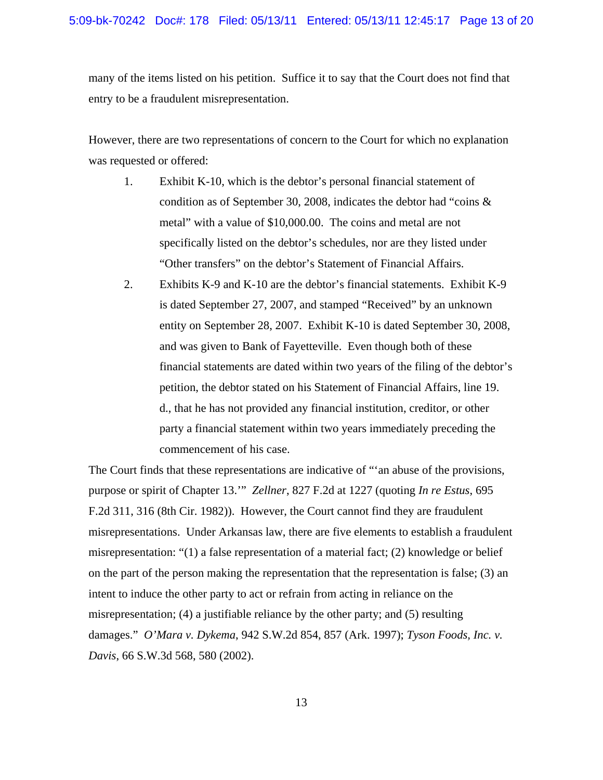many of the items listed on his petition. Suffice it to say that the Court does not find that entry to be a fraudulent misrepresentation.

However, there are two representations of concern to the Court for which no explanation was requested or offered:

- 1. Exhibit K-10, which is the debtor's personal financial statement of condition as of September 30, 2008, indicates the debtor had "coins & metal" with a value of \$10,000.00. The coins and metal are not specifically listed on the debtor's schedules, nor are they listed under "Other transfers" on the debtor's Statement of Financial Affairs.
- 2. Exhibits K-9 and K-10 are the debtor's financial statements. Exhibit K-9 is dated September 27, 2007, and stamped "Received" by an unknown entity on September 28, 2007. Exhibit K-10 is dated September 30, 2008, and was given to Bank of Fayetteville. Even though both of these financial statements are dated within two years of the filing of the debtor's petition, the debtor stated on his Statement of Financial Affairs, line 19. d., that he has not provided any financial institution, creditor, or other party a financial statement within two years immediately preceding the commencement of his case.

The Court finds that these representations are indicative of "'an abuse of the provisions, purpose or spirit of Chapter 13.'" *Zellner*, 827 F.2d at 1227 (quoting *In re Estus*, 695 F.2d 311, 316 (8th Cir. 1982)). However, the Court cannot find they are fraudulent misrepresentations. Under Arkansas law, there are five elements to establish a fraudulent misrepresentation: "(1) a false representation of a material fact; (2) knowledge or belief on the part of the person making the representation that the representation is false; (3) an intent to induce the other party to act or refrain from acting in reliance on the misrepresentation; (4) a justifiable reliance by the other party; and (5) resulting damages." *O'Mara v. Dykema*, 942 S.W.2d 854, 857 (Ark. 1997); *Tyson Foods, Inc. v. Davis*, 66 S.W.3d 568, 580 (2002).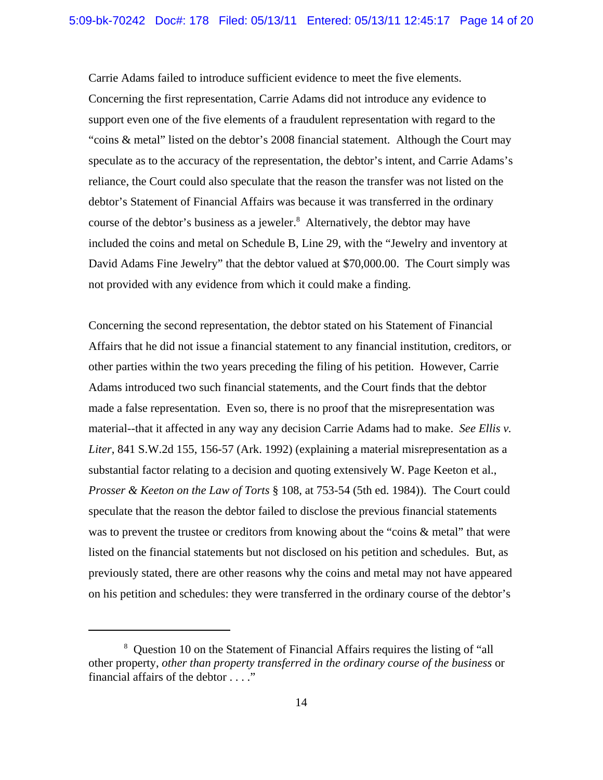Carrie Adams failed to introduce sufficient evidence to meet the five elements. Concerning the first representation, Carrie Adams did not introduce any evidence to support even one of the five elements of a fraudulent representation with regard to the "coins & metal" listed on the debtor's 2008 financial statement. Although the Court may speculate as to the accuracy of the representation, the debtor's intent, and Carrie Adams's reliance, the Court could also speculate that the reason the transfer was not listed on the debtor's Statement of Financial Affairs was because it was transferred in the ordinary course of the debtor's business as a jeweler.<sup>8</sup> Alternatively, the debtor may have included the coins and metal on Schedule B, Line 29, with the "Jewelry and inventory at David Adams Fine Jewelry" that the debtor valued at \$70,000.00. The Court simply was not provided with any evidence from which it could make a finding.

Concerning the second representation, the debtor stated on his Statement of Financial Affairs that he did not issue a financial statement to any financial institution, creditors, or other parties within the two years preceding the filing of his petition. However, Carrie Adams introduced two such financial statements, and the Court finds that the debtor made a false representation. Even so, there is no proof that the misrepresentation was material--that it affected in any way any decision Carrie Adams had to make. *See Ellis v. Liter*, 841 S.W.2d 155, 156-57 (Ark. 1992) (explaining a material misrepresentation as a substantial factor relating to a decision and quoting extensively W. Page Keeton et al., *Prosser & Keeton on the Law of Torts* § 108, at 753-54 (5th ed. 1984)). The Court could speculate that the reason the debtor failed to disclose the previous financial statements was to prevent the trustee or creditors from knowing about the "coins & metal" that were listed on the financial statements but not disclosed on his petition and schedules. But, as previously stated, there are other reasons why the coins and metal may not have appeared on his petition and schedules: they were transferred in the ordinary course of the debtor's

<sup>&</sup>lt;sup>8</sup> Question 10 on the Statement of Financial Affairs requires the listing of "all other property, *other than property transferred in the ordinary course of the business* or financial affairs of the debtor . . . ."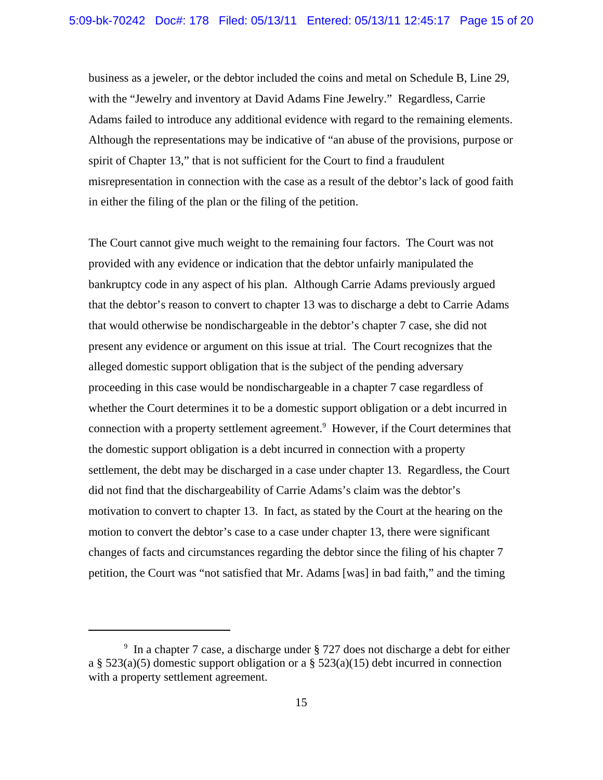business as a jeweler, or the debtor included the coins and metal on Schedule B, Line 29, with the "Jewelry and inventory at David Adams Fine Jewelry." Regardless, Carrie Adams failed to introduce any additional evidence with regard to the remaining elements. Although the representations may be indicative of "an abuse of the provisions, purpose or spirit of Chapter 13," that is not sufficient for the Court to find a fraudulent misrepresentation in connection with the case as a result of the debtor's lack of good faith in either the filing of the plan or the filing of the petition.

The Court cannot give much weight to the remaining four factors. The Court was not provided with any evidence or indication that the debtor unfairly manipulated the bankruptcy code in any aspect of his plan. Although Carrie Adams previously argued that the debtor's reason to convert to chapter 13 was to discharge a debt to Carrie Adams that would otherwise be nondischargeable in the debtor's chapter 7 case, she did not present any evidence or argument on this issue at trial. The Court recognizes that the alleged domestic support obligation that is the subject of the pending adversary proceeding in this case would be nondischargeable in a chapter 7 case regardless of whether the Court determines it to be a domestic support obligation or a debt incurred in connection with a property settlement agreement.<sup>9</sup> However, if the Court determines that the domestic support obligation is a debt incurred in connection with a property settlement, the debt may be discharged in a case under chapter 13. Regardless, the Court did not find that the dischargeability of Carrie Adams's claim was the debtor's motivation to convert to chapter 13. In fact, as stated by the Court at the hearing on the motion to convert the debtor's case to a case under chapter 13, there were significant changes of facts and circumstances regarding the debtor since the filing of his chapter 7 petition, the Court was "not satisfied that Mr. Adams [was] in bad faith," and the timing

<sup>9</sup> In a chapter 7 case, a discharge under § 727 does not discharge a debt for either a §  $523(a)(5)$  domestic support obligation or a §  $523(a)(15)$  debt incurred in connection with a property settlement agreement.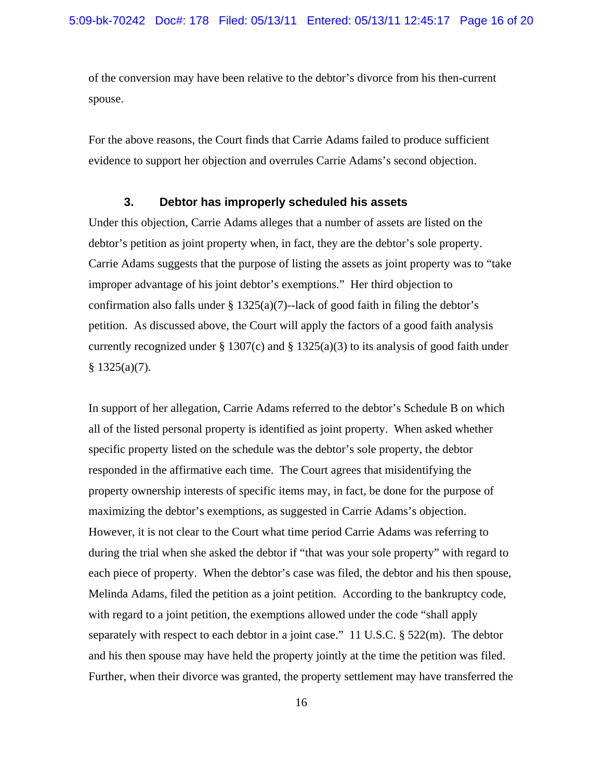of the conversion may have been relative to the debtor's divorce from his then-current spouse.

For the above reasons, the Court finds that Carrie Adams failed to produce sufficient evidence to support her objection and overrules Carrie Adams's second objection.

### **3. Debtor has improperly scheduled his assets**

Under this objection, Carrie Adams alleges that a number of assets are listed on the debtor's petition as joint property when, in fact, they are the debtor's sole property. Carrie Adams suggests that the purpose of listing the assets as joint property was to "take improper advantage of his joint debtor's exemptions." Her third objection to confirmation also falls under  $\S 1325(a)(7)$ -lack of good faith in filing the debtor's petition. As discussed above, the Court will apply the factors of a good faith analysis currently recognized under  $\S 1307(c)$  and  $\S 1325(a)(3)$  to its analysis of good faith under  $§ 1325(a)(7).$ 

In support of her allegation, Carrie Adams referred to the debtor's Schedule B on which all of the listed personal property is identified as joint property. When asked whether specific property listed on the schedule was the debtor's sole property, the debtor responded in the affirmative each time. The Court agrees that misidentifying the property ownership interests of specific items may, in fact, be done for the purpose of maximizing the debtor's exemptions, as suggested in Carrie Adams's objection. However, it is not clear to the Court what time period Carrie Adams was referring to during the trial when she asked the debtor if "that was your sole property" with regard to each piece of property. When the debtor's case was filed, the debtor and his then spouse, Melinda Adams, filed the petition as a joint petition. According to the bankruptcy code, with regard to a joint petition, the exemptions allowed under the code "shall apply separately with respect to each debtor in a joint case." 11 U.S.C. § 522(m). The debtor and his then spouse may have held the property jointly at the time the petition was filed. Further, when their divorce was granted, the property settlement may have transferred the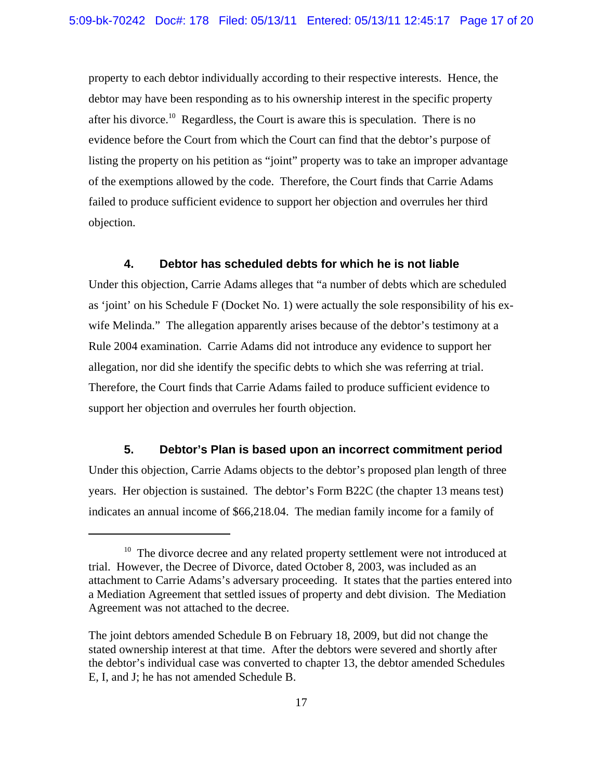property to each debtor individually according to their respective interests. Hence, the debtor may have been responding as to his ownership interest in the specific property after his divorce.10 Regardless, the Court is aware this is speculation. There is no evidence before the Court from which the Court can find that the debtor's purpose of listing the property on his petition as "joint" property was to take an improper advantage of the exemptions allowed by the code. Therefore, the Court finds that Carrie Adams failed to produce sufficient evidence to support her objection and overrules her third objection.

## **4. Debtor has scheduled debts for which he is not liable**

Under this objection, Carrie Adams alleges that "a number of debts which are scheduled as 'joint' on his Schedule F (Docket No. 1) were actually the sole responsibility of his exwife Melinda." The allegation apparently arises because of the debtor's testimony at a Rule 2004 examination. Carrie Adams did not introduce any evidence to support her allegation, nor did she identify the specific debts to which she was referring at trial. Therefore, the Court finds that Carrie Adams failed to produce sufficient evidence to support her objection and overrules her fourth objection.

### **5. Debtor's Plan is based upon an incorrect commitment period**

Under this objection, Carrie Adams objects to the debtor's proposed plan length of three years. Her objection is sustained. The debtor's Form B22C (the chapter 13 means test) indicates an annual income of \$66,218.04. The median family income for a family of

<sup>&</sup>lt;sup>10</sup> The divorce decree and any related property settlement were not introduced at trial. However, the Decree of Divorce, dated October 8, 2003, was included as an attachment to Carrie Adams's adversary proceeding. It states that the parties entered into a Mediation Agreement that settled issues of property and debt division. The Mediation Agreement was not attached to the decree.

The joint debtors amended Schedule B on February 18, 2009, but did not change the stated ownership interest at that time. After the debtors were severed and shortly after the debtor's individual case was converted to chapter 13, the debtor amended Schedules E, I, and J; he has not amended Schedule B.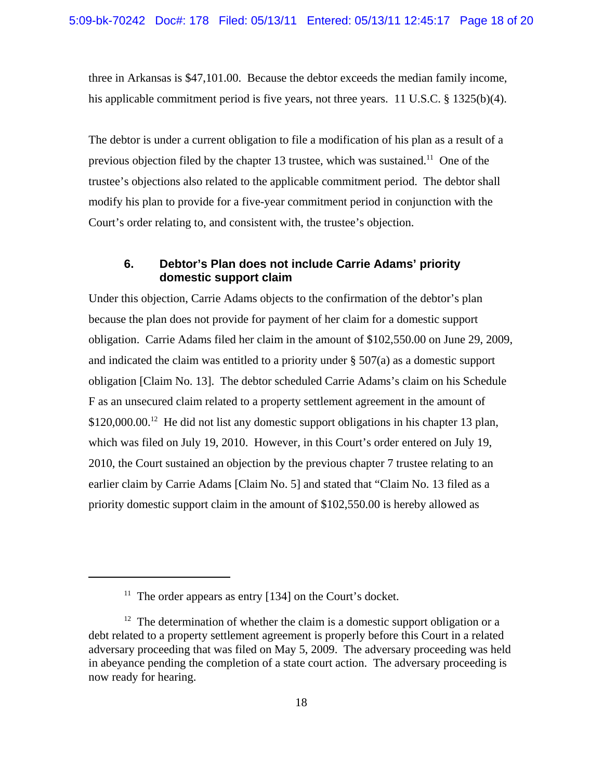three in Arkansas is \$47,101.00. Because the debtor exceeds the median family income, his applicable commitment period is five years, not three years. 11 U.S.C. § 1325(b)(4).

The debtor is under a current obligation to file a modification of his plan as a result of a previous objection filed by the chapter 13 trustee, which was sustained.<sup>11</sup> One of the trustee's objections also related to the applicable commitment period. The debtor shall modify his plan to provide for a five-year commitment period in conjunction with the Court's order relating to, and consistent with, the trustee's objection.

# **6. Debtor's Plan does not include Carrie Adams' priority domestic support claim**

Under this objection, Carrie Adams objects to the confirmation of the debtor's plan because the plan does not provide for payment of her claim for a domestic support obligation. Carrie Adams filed her claim in the amount of \$102,550.00 on June 29, 2009, and indicated the claim was entitled to a priority under  $\S 507(a)$  as a domestic support obligation [Claim No. 13]. The debtor scheduled Carrie Adams's claim on his Schedule F as an unsecured claim related to a property settlement agreement in the amount of  $$120,000.00<sup>12</sup>$  He did not list any domestic support obligations in his chapter 13 plan, which was filed on July 19, 2010. However, in this Court's order entered on July 19, 2010, the Court sustained an objection by the previous chapter 7 trustee relating to an earlier claim by Carrie Adams [Claim No. 5] and stated that "Claim No. 13 filed as a priority domestic support claim in the amount of \$102,550.00 is hereby allowed as

<sup>&</sup>lt;sup>11</sup> The order appears as entry  $[134]$  on the Court's docket.

 $12$  The determination of whether the claim is a domestic support obligation or a debt related to a property settlement agreement is properly before this Court in a related adversary proceeding that was filed on May 5, 2009. The adversary proceeding was held in abeyance pending the completion of a state court action. The adversary proceeding is now ready for hearing.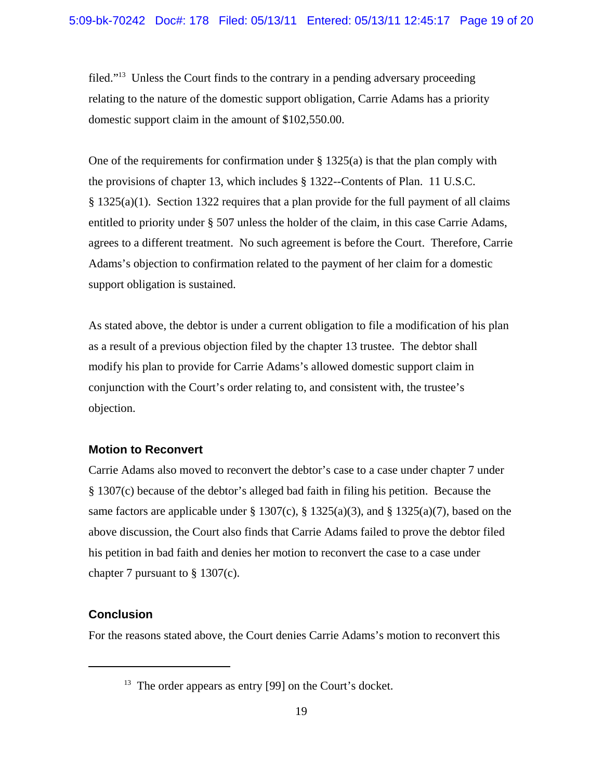filed."13 Unless the Court finds to the contrary in a pending adversary proceeding relating to the nature of the domestic support obligation, Carrie Adams has a priority domestic support claim in the amount of \$102,550.00.

One of the requirements for confirmation under  $\S 1325(a)$  is that the plan comply with the provisions of chapter 13, which includes § 1322--Contents of Plan. 11 U.S.C. § 1325(a)(1). Section 1322 requires that a plan provide for the full payment of all claims entitled to priority under § 507 unless the holder of the claim, in this case Carrie Adams, agrees to a different treatment. No such agreement is before the Court. Therefore, Carrie Adams's objection to confirmation related to the payment of her claim for a domestic support obligation is sustained.

As stated above, the debtor is under a current obligation to file a modification of his plan as a result of a previous objection filed by the chapter 13 trustee. The debtor shall modify his plan to provide for Carrie Adams's allowed domestic support claim in conjunction with the Court's order relating to, and consistent with, the trustee's objection.

### **Motion to Reconvert**

Carrie Adams also moved to reconvert the debtor's case to a case under chapter 7 under § 1307(c) because of the debtor's alleged bad faith in filing his petition. Because the same factors are applicable under § 1307(c), § 1325(a)(3), and § 1325(a)(7), based on the above discussion, the Court also finds that Carrie Adams failed to prove the debtor filed his petition in bad faith and denies her motion to reconvert the case to a case under chapter 7 pursuant to § 1307(c).

# **Conclusion**

For the reasons stated above, the Court denies Carrie Adams's motion to reconvert this

<sup>&</sup>lt;sup>13</sup> The order appears as entry [99] on the Court's docket.